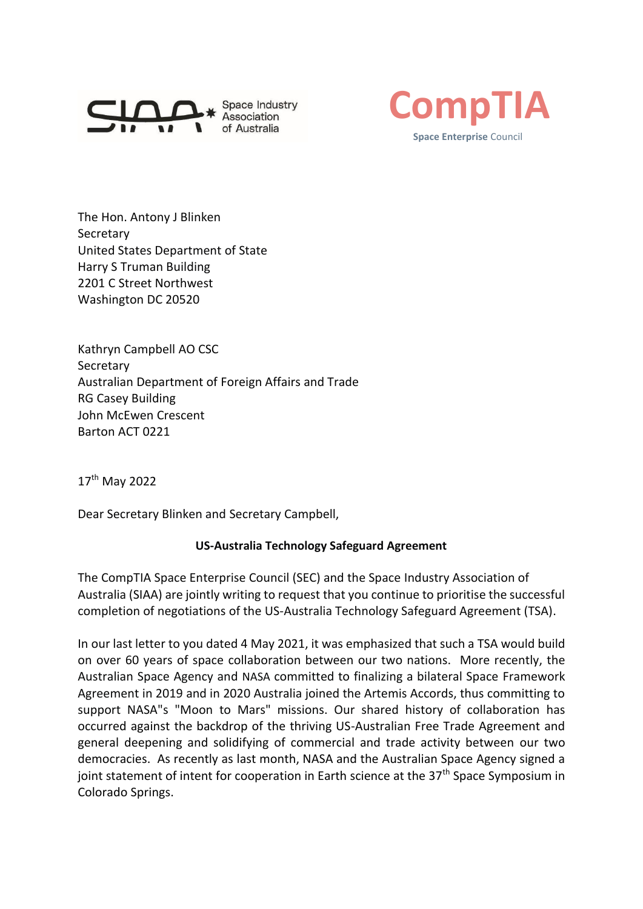



The Hon. Antony J Blinken Secretary United States Department of State Harry S Truman Building 2201 C Street Northwest Washington DC 20520

Kathryn Campbell AO CSC Secretary Australian Department of Foreign Affairs and Trade RG Casey Building John McEwen Crescent Barton ACT 0221

17<sup>th</sup> May 2022

Dear Secretary Blinken and Secretary Campbell,

## **US-Australia Technology Safeguard Agreement**

The CompTIA Space Enterprise Council (SEC) and the Space Industry Association of Australia (SIAA) are jointly writing to request that you continue to prioritise the successful completion of negotiations of the US-Australia Technology Safeguard Agreement (TSA).

In our last letter to you dated 4 May 2021, it was emphasized that such a TSA would build on over 60 years of space collaboration between our two nations. More recently, the Australian Space Agency and NASA committed to finalizing a bilateral Space Framework Agreement in 2019 and in 2020 Australia joined the Artemis Accords, thus committing to support NASA"s "Moon to Mars" missions. Our shared history of collaboration has occurred against the backdrop of the thriving US-Australian Free Trade Agreement and general deepening and solidifying of commercial and trade activity between our two democracies. As recently as last month, NASA and the Australian Space Agency signed a joint statement of intent for cooperation in Earth science at the  $37<sup>th</sup>$  Space Symposium in Colorado Springs.